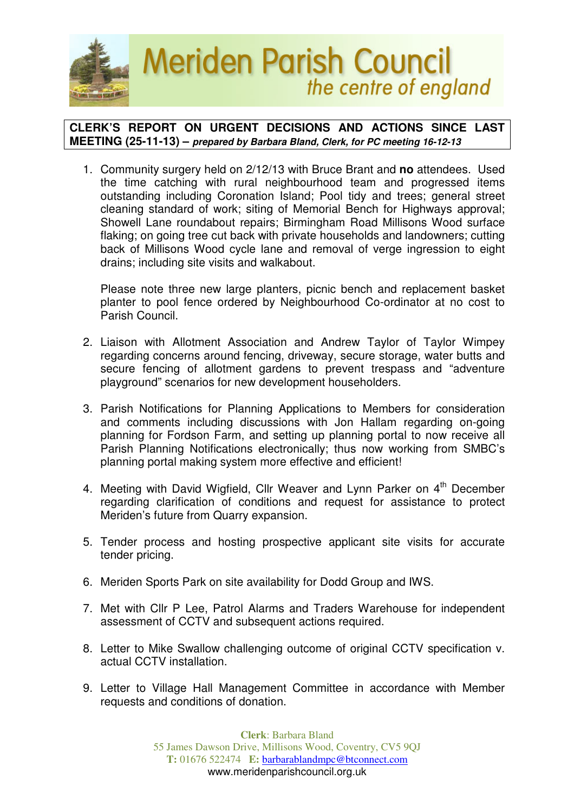

## **CLERK'S REPORT ON URGENT DECISIONS AND ACTIONS SINCE LAST MEETING (25-11-13) – prepared by Barbara Bland, Clerk, for PC meeting 16-12-13**

1. Community surgery held on 2/12/13 with Bruce Brant and **no** attendees. Used the time catching with rural neighbourhood team and progressed items outstanding including Coronation Island; Pool tidy and trees; general street cleaning standard of work; siting of Memorial Bench for Highways approval; Showell Lane roundabout repairs; Birmingham Road Millisons Wood surface flaking; on going tree cut back with private households and landowners; cutting back of Millisons Wood cycle lane and removal of verge ingression to eight drains; including site visits and walkabout.

Please note three new large planters, picnic bench and replacement basket planter to pool fence ordered by Neighbourhood Co-ordinator at no cost to Parish Council.

- 2. Liaison with Allotment Association and Andrew Taylor of Taylor Wimpey regarding concerns around fencing, driveway, secure storage, water butts and secure fencing of allotment gardens to prevent trespass and "adventure playground" scenarios for new development householders.
- 3. Parish Notifications for Planning Applications to Members for consideration and comments including discussions with Jon Hallam regarding on-going planning for Fordson Farm, and setting up planning portal to now receive all Parish Planning Notifications electronically; thus now working from SMBC's planning portal making system more effective and efficient!
- 4. Meeting with David Wigfield, Cllr Weaver and Lynn Parker on 4<sup>th</sup> December regarding clarification of conditions and request for assistance to protect Meriden's future from Quarry expansion.
- 5. Tender process and hosting prospective applicant site visits for accurate tender pricing.
- 6. Meriden Sports Park on site availability for Dodd Group and IWS.
- 7. Met with Cllr P Lee, Patrol Alarms and Traders Warehouse for independent assessment of CCTV and subsequent actions required.
- 8. Letter to Mike Swallow challenging outcome of original CCTV specification v. actual CCTV installation.
- 9. Letter to Village Hall Management Committee in accordance with Member requests and conditions of donation.